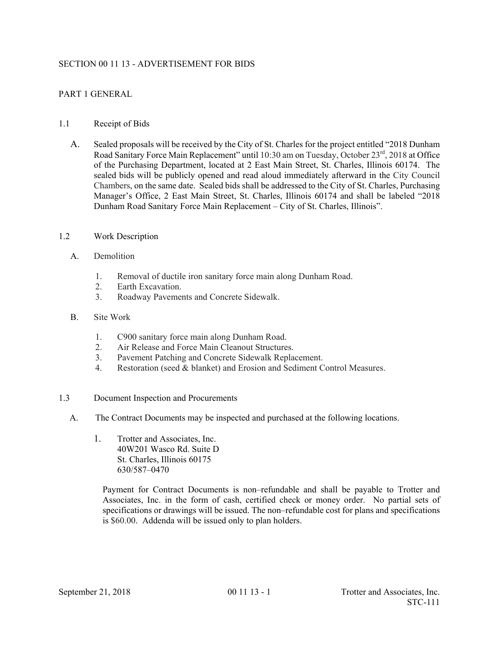## SECTION 00 11 13 - ADVERTISEMENT FOR BIDS

# PART 1 GENERAL

## 1.1 Receipt of Bids

A. Sealed proposals will be received by the City of St. Charles for the project entitled "2018 Dunham Road Sanitary Force Main Replacement" until 10:30 am on Tuesday, October 23rd, 2018 at Office of the Purchasing Department, located at 2 East Main Street, St. Charles, Illinois 60174. The sealed bids will be publicly opened and read aloud immediately afterward in the City Council Chambers, on the same date. Sealed bids shall be addressed to the City of St. Charles, Purchasing Manager's Office, 2 East Main Street, St. Charles, Illinois 60174 and shall be labeled "2018 Dunham Road Sanitary Force Main Replacement – City of St. Charles, Illinois".

### 1.2 Work Description

- A. Demolition
	- 1. Removal of ductile iron sanitary force main along Dunham Road.
	- 2. Earth Excavation.
	- 3. Roadway Pavements and Concrete Sidewalk.
- B. Site Work
	- 1. C900 sanitary force main along Dunham Road.
	- 2. Air Release and Force Main Cleanout Structures.
	- 3. Pavement Patching and Concrete Sidewalk Replacement.
	- 4. Restoration (seed & blanket) and Erosion and Sediment Control Measures.
- 1.3 Document Inspection and Procurements
	- A. The Contract Documents may be inspected and purchased at the following locations.
		- 1. Trotter and Associates, Inc. 40W201 Wasco Rd. Suite D St. Charles, Illinois 60175 630/587–0470

 Payment for Contract Documents is non–refundable and shall be payable to Trotter and Associates, Inc. in the form of cash, certified check or money order. No partial sets of specifications or drawings will be issued. The non–refundable cost for plans and specifications is \$60.00. Addenda will be issued only to plan holders.